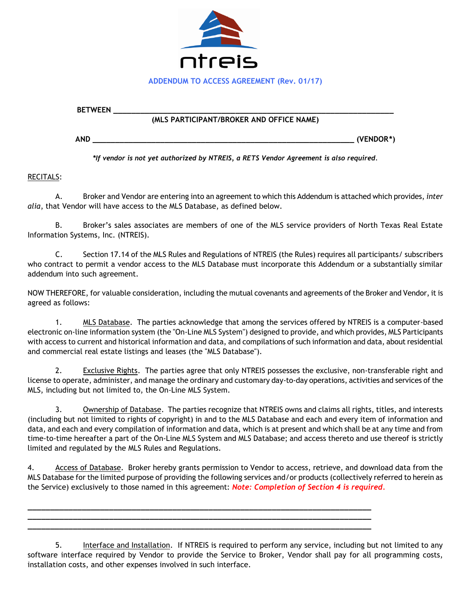

## **BETWEEN \_\_\_\_\_\_\_\_\_\_\_\_\_\_\_\_\_\_\_\_\_\_\_\_\_\_\_\_\_\_\_\_\_\_\_\_\_\_\_\_\_\_\_\_\_\_\_\_\_\_\_\_\_\_\_\_\_\_\_\_\_\_ (MLS PARTICIPANT/BROKER AND OFFICE NAME)**

**AND \_\_\_\_\_\_\_\_\_\_\_\_\_\_\_\_\_\_\_\_\_\_\_\_\_\_\_\_\_\_\_\_\_\_\_\_\_\_\_\_\_\_\_\_\_\_\_\_\_\_\_\_\_\_\_\_\_\_ (VENDOR\*)**

*\*If vendor is not yet authorized by NTREIS, a RETS Vendor Agreement is also required.*

RECITALS:

A. Broker and Vendor are entering into an agreement to which this Addendum is attached which provides, *inter alia*, that Vendor will have access to the MLS Database, as defined below.

B. Broker's sales associates are members of one of the MLS service providers of North Texas Real Estate Information Systems, Inc. (NTREIS).

C. Section 17.14 of the MLS Rules and Regulations of NTREIS (the Rules) requires all participants/ subscribers who contract to permit a vendor access to the MLS Database must incorporate this Addendum or a substantially similar addendum into such agreement.

NOW THEREFORE, for valuable consideration, including the mutual covenants and agreements of the Broker and Vendor, it is agreed as follows:

1. MLS Database. The parties acknowledge that among the services offered by NTREIS is a computer-based electronic on-line information system (the "On-Line MLS System") designed to provide, and which provides, MLS Participants with access to current and historical information and data, and compilations of such information and data, about residential and commercial real estate listings and leases (the "MLS Database").

2. Exclusive Rights. The parties agree that only NTREIS possesses the exclusive, non-transferable right and license to operate, administer, and manage the ordinary and customary day-to-day operations, activities and services of the MLS, including but not limited to, the On-Line MLS System.

3. Ownership of Database. The parties recognize that NTREIS owns and claims all rights, titles, and interests (including but not limited to rights of copyright) in and to the MLS Database and each and every item of information and data, and each and every compilation of information and data, which is at present and which shall be at any time and from time-to-time hereafter a part of the On-Line MLS System and MLS Database; and access thereto and use thereof is strictly limited and regulated by the MLS Rules and Regulations.

4. Access of Database. Broker hereby grants permission to Vendor to access, retrieve, and download data from the MLS Database for the limited purpose of providing the following services and/or products (collectively referred to herein as the Service) exclusively to those named in this agreement: *Note: Completion of Section 4 is required.*

**\_\_\_\_\_\_\_\_\_\_\_\_\_\_\_\_\_\_\_\_\_\_\_\_\_\_\_\_\_\_\_\_\_\_\_\_\_\_\_\_\_\_\_\_\_\_\_\_\_\_\_\_\_\_\_\_\_\_\_\_\_\_\_\_\_\_\_\_\_\_\_\_\_\_\_\_ \_\_\_\_\_\_\_\_\_\_\_\_\_\_\_\_\_\_\_\_\_\_\_\_\_\_\_\_\_\_\_\_\_\_\_\_\_\_\_\_\_\_\_\_\_\_\_\_\_\_\_\_\_\_\_\_\_\_\_\_\_\_\_\_\_\_\_\_\_\_\_\_\_\_\_\_ \_\_\_\_\_\_\_\_\_\_\_\_\_\_\_\_\_\_\_\_\_\_\_\_\_\_\_\_\_\_\_\_\_\_\_\_\_\_\_\_\_\_\_\_\_\_\_\_\_\_\_\_\_\_\_\_\_\_\_\_\_\_\_\_\_\_\_\_\_\_\_\_\_\_\_\_**

5. Interface and Installation. If NTREIS is required to perform any service, including but not limited to any software interface required by Vendor to provide the Service to Broker, Vendor shall pay for all programming costs, installation costs, and other expenses involved in such interface.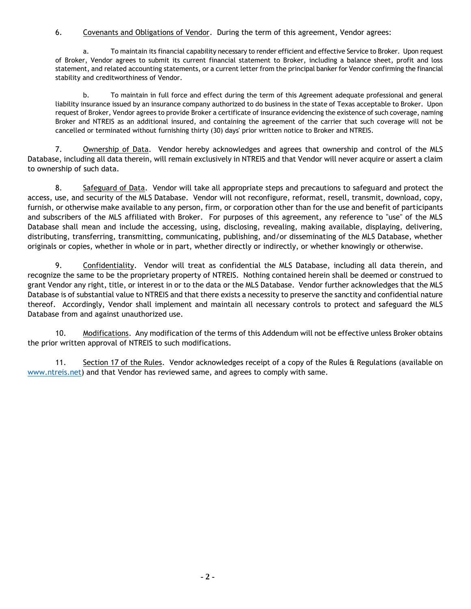## 6. Covenants and Obligations of Vendor. During the term of this agreement, Vendor agrees:

a. To maintain its financial capability necessary to render efficient and effective Service to Broker. Upon request of Broker, Vendor agrees to submit its current financial statement to Broker, including a balance sheet, profit and loss statement, and related accounting statements, or a current letter from the principal banker for Vendor confirming the financial stability and creditworthiness of Vendor.

b. To maintain in full force and effect during the term of this Agreement adequate professional and general liability insurance issued by an insurance company authorized to do business in the state of Texas acceptable to Broker. Upon request of Broker, Vendor agrees to provide Broker a certificate of insurance evidencing the existence of such coverage, naming Broker and NTREIS as an additional insured, and containing the agreement of the carrier that such coverage will not be cancelled or terminated without furnishing thirty (30) days' prior written notice to Broker and NTREIS.

7. Ownership of Data. Vendor hereby acknowledges and agrees that ownership and control of the MLS Database, including all data therein, will remain exclusively in NTREIS and that Vendor will never acquire or assert a claim to ownership of such data.

8. Safeguard of Data. Vendor will take all appropriate steps and precautions to safeguard and protect the access, use, and security of the MLS Database. Vendor will not reconfigure, reformat, resell, transmit, download, copy, furnish, or otherwise make available to any person, firm, or corporation other than for the use and benefit of participants and subscribers of the MLS affiliated with Broker. For purposes of this agreement, any reference to "use" of the MLS Database shall mean and include the accessing, using, disclosing, revealing, making available, displaying, delivering, distributing, transferring, transmitting, communicating, publishing, and/or disseminating of the MLS Database, whether originals or copies, whether in whole or in part, whether directly or indirectly, or whether knowingly or otherwise.

9. Confidentiality. Vendor will treat as confidential the MLS Database, including all data therein, and recognize the same to be the proprietary property of NTREIS. Nothing contained herein shall be deemed or construed to grant Vendor any right, title, or interest in or to the data or the MLS Database. Vendor further acknowledges that the MLS Database is of substantial value to NTREIS and that there exists a necessity to preserve the sanctity and confidential nature thereof. Accordingly, Vendor shall implement and maintain all necessary controls to protect and safeguard the MLS Database from and against unauthorized use.

10. Modifications. Any modification of the terms of this Addendum will not be effective unless Broker obtains the prior written approval of NTREIS to such modifications.

11. Section 17 of the Rules. Vendor acknowledges receipt of a copy of the Rules & Regulations (available on [www.ntreis.net\)](http://www.ntreis.net/) and that Vendor has reviewed same, and agrees to comply with same.